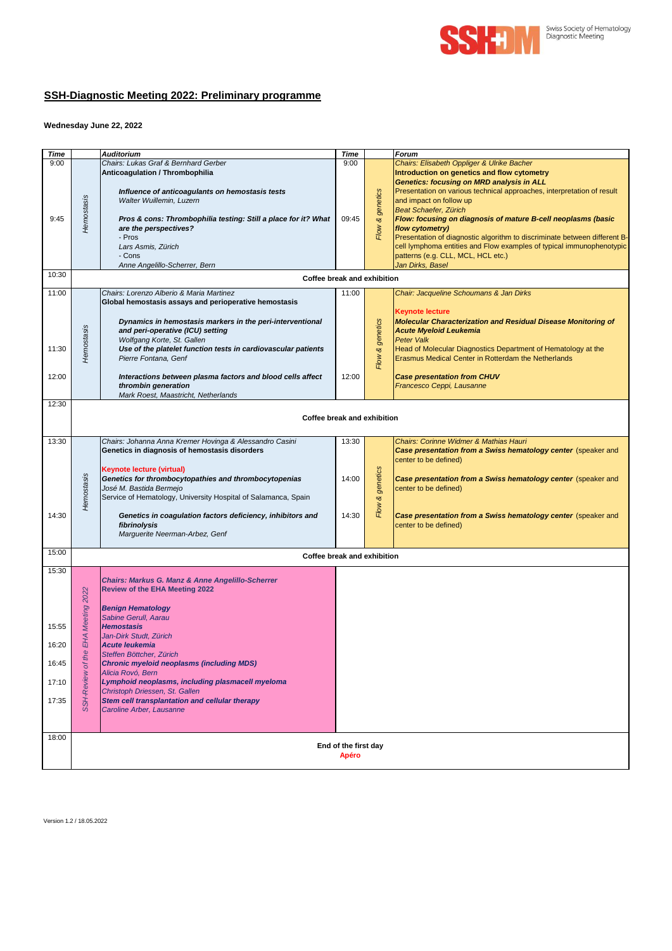

## **SSH-Diagnostic Meeting 2022: Preliminary programme**

## **Wednesday June 22, 2022**

| <b>Time</b>              |                             | <b>Auditorium</b>                                                                                    | <b>Time</b> |          | Forum                                                                                                                                                              |  |  |  |
|--------------------------|-----------------------------|------------------------------------------------------------------------------------------------------|-------------|----------|--------------------------------------------------------------------------------------------------------------------------------------------------------------------|--|--|--|
| 9:00                     |                             | Chairs: Lukas Graf & Bernhard Gerber                                                                 | 9:00        |          | Chairs: Elisabeth Oppliger & Ulrike Bacher                                                                                                                         |  |  |  |
|                          |                             | Anticoagulation / Thrombophilia                                                                      |             |          | Introduction on genetics and flow cytometry<br>Genetics: focusing on MRD analysis in ALL<br>Presentation on various technical approaches, interpretation of result |  |  |  |
|                          |                             | Influence of anticoagulants on hemostasis tests<br>Walter Wuillemin, Luzern                          |             | genetics | and impact on follow up                                                                                                                                            |  |  |  |
| 9:45                     | Hemostasis                  | Pros & cons: Thrombophilia testing: Still a place for it? What                                       | 09:45       | త        | <b>Beat Schaefer, Zürich</b><br>Flow: focusing on diagnosis of mature B-cell neoplasms (basic                                                                      |  |  |  |
|                          |                             | are the perspectives?                                                                                |             | Flow     | flow cytometry)                                                                                                                                                    |  |  |  |
|                          |                             | - Pros<br>Lars Asmis, Zürich                                                                         |             |          | Presentation of diagnostic algorithm to discriminate between different B-<br>cell lymphoma entities and Flow examples of typical immunophenotypic                  |  |  |  |
|                          |                             | - Cons                                                                                               |             |          | patterns (e.g. CLL, MCL, HCL etc.)                                                                                                                                 |  |  |  |
| 10:30                    |                             | Anne Angelillo-Scherrer, Bern                                                                        |             |          | Jan Dirks, Basel                                                                                                                                                   |  |  |  |
|                          | Coffee break and exhibition |                                                                                                      |             |          |                                                                                                                                                                    |  |  |  |
| 11:00                    |                             | Chairs: Lorenzo Alberio & Maria Martinez<br>Global hemostasis assays and perioperative hemostasis    | 11:00       |          | Chair: Jacqueline Schoumans & Jan Dirks                                                                                                                            |  |  |  |
|                          |                             |                                                                                                      |             |          | <b>Keynote lecture</b>                                                                                                                                             |  |  |  |
|                          |                             | Dynamics in hemostasis markers in the peri-interventional<br>and peri-operative (ICU) setting        |             | genetics | <b>Molecular Characterization and Residual Disease Monitoring of</b><br><b>Acute Myeloid Leukemia</b>                                                              |  |  |  |
|                          |                             | Wolfgang Korte, St. Gallen                                                                           |             |          | <b>Peter Valk</b>                                                                                                                                                  |  |  |  |
| 11:30                    | Hemostasis                  | Use of the platelet function tests in cardiovascular patients<br>Pierre Fontana, Genf                |             | త        | Head of Molecular Diagnostics Department of Hematology at the<br>Erasmus Medical Center in Rotterdam the Netherlands                                               |  |  |  |
|                          |                             |                                                                                                      |             | Flow     |                                                                                                                                                                    |  |  |  |
| 12:00                    |                             | Interactions between plasma factors and blood cells affect<br>thrombin generation                    | 12:00       |          | <b>Case presentation from CHUV</b><br>Francesco Ceppi, Lausanne                                                                                                    |  |  |  |
|                          |                             | Mark Roest, Maastricht, Netherlands                                                                  |             |          |                                                                                                                                                                    |  |  |  |
| 12:30                    |                             |                                                                                                      |             |          |                                                                                                                                                                    |  |  |  |
|                          |                             | Coffee break and exhibition                                                                          |             |          |                                                                                                                                                                    |  |  |  |
| 13:30                    |                             | Chairs: Johanna Anna Kremer Hovinga & Alessandro Casini                                              | 13:30       |          | Chairs: Corinne Widmer & Mathias Hauri                                                                                                                             |  |  |  |
|                          |                             | Genetics in diagnosis of hemostasis disorders                                                        |             |          | Case presentation from a Swiss hematology center (speaker and<br>center to be defined)                                                                             |  |  |  |
|                          |                             | Keynote lecture (virtual)                                                                            |             |          |                                                                                                                                                                    |  |  |  |
|                          |                             | Genetics for thrombocytopathies and thrombocytopenias<br>José M. Bastida Bermejo                     | 14:00       | genetics | Case presentation from a Swiss hematology center (speaker and<br>center to be defined)                                                                             |  |  |  |
|                          | Hemostasis                  | Service of Hematology, University Hospital of Salamanca, Spain                                       |             | প্ত      |                                                                                                                                                                    |  |  |  |
| 14:30                    |                             | Genetics in coagulation factors deficiency, inhibitors and                                           | 14:30       | Flow     | Case presentation from a Swiss hematology center (speaker and                                                                                                      |  |  |  |
|                          |                             | fibrinolysis                                                                                         |             |          | center to be defined)                                                                                                                                              |  |  |  |
|                          |                             | Marguerite Neerman-Arbez, Genf                                                                       |             |          |                                                                                                                                                                    |  |  |  |
| 15:00                    |                             | Coffee break and exhibition                                                                          |             |          |                                                                                                                                                                    |  |  |  |
| 15:30                    |                             |                                                                                                      |             |          |                                                                                                                                                                    |  |  |  |
|                          |                             | <b>Chairs: Markus G. Manz &amp; Anne Angelillo-Scherrer</b><br><b>Review of the EHA Meeting 2022</b> |             |          |                                                                                                                                                                    |  |  |  |
|                          | Meeting 2022                |                                                                                                      |             |          |                                                                                                                                                                    |  |  |  |
|                          |                             | <b>Benign Hematology</b><br>Sabine Gerull, Aarau                                                     |             |          |                                                                                                                                                                    |  |  |  |
| 15:55                    |                             | <b>Hemostasis</b>                                                                                    |             |          |                                                                                                                                                                    |  |  |  |
| 16:20                    | EНА                         | Jan-Dirk Studt, Zürich<br><b>Acute leukemia</b>                                                      |             |          |                                                                                                                                                                    |  |  |  |
|                          | $\Phi$<br>4                 | Steffen Böttcher, Zürich<br><b>Chronic myeloid neoplasms (including MDS)</b>                         |             |          |                                                                                                                                                                    |  |  |  |
| 16:45                    | ð                           | Alicia Rovó, Bern                                                                                    |             |          |                                                                                                                                                                    |  |  |  |
| 17:10                    | SSH-Review                  | Lymphoid neoplasms, including plasmacell myeloma<br>Christoph Driessen, St. Gallen                   |             |          |                                                                                                                                                                    |  |  |  |
| 17:35                    |                             | Stem cell transplantation and cellular therapy                                                       |             |          |                                                                                                                                                                    |  |  |  |
|                          |                             | Caroline Arber, Lausanne                                                                             |             |          |                                                                                                                                                                    |  |  |  |
|                          |                             |                                                                                                      |             |          |                                                                                                                                                                    |  |  |  |
| 18:00                    | End of the first day        |                                                                                                      |             |          |                                                                                                                                                                    |  |  |  |
|                          | Apéro                       |                                                                                                      |             |          |                                                                                                                                                                    |  |  |  |
|                          |                             |                                                                                                      |             |          |                                                                                                                                                                    |  |  |  |
|                          |                             |                                                                                                      |             |          |                                                                                                                                                                    |  |  |  |
|                          |                             |                                                                                                      |             |          |                                                                                                                                                                    |  |  |  |
| Version 1.2 / 18.05.2022 |                             |                                                                                                      |             |          |                                                                                                                                                                    |  |  |  |